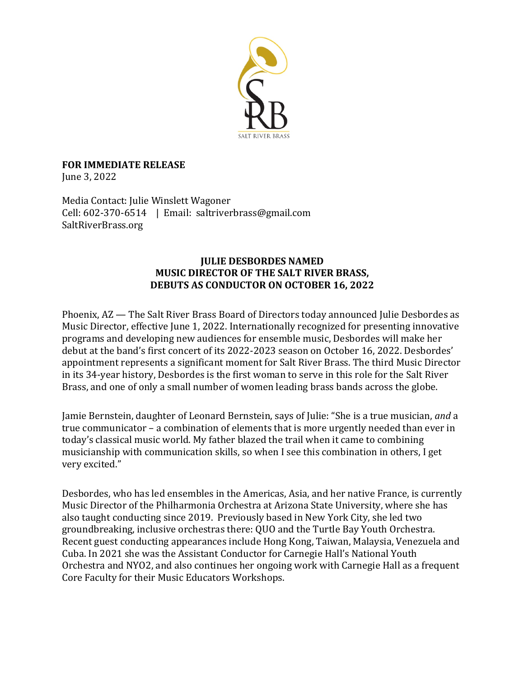

**FOR IMMEDIATE RELEASE** June 3, 2022

Media Contact: Julie Winslett Wagoner Cell: 602-370-6514 | Email: saltriverbrass@gmail.com SaltRiverBrass.org

## **JULIE DESBORDES NAMED MUSIC DIRECTOR OF THE SALT RIVER BRASS, DEBUTS AS CONDUCTOR ON OCTOBER 16, 2022**

Phoenix, AZ — The Salt River Brass Board of Directors today announced Julie Desbordes as Music Director, effective June 1, 2022. Internationally recognized for presenting innovative programs and developing new audiences for ensemble music, Desbordes will make her debut at the band's first concert of its 2022-2023 season on October 16, 2022. Desbordes' appointment represents a significant moment for Salt River Brass. The third Music Director in its 34-year history, Desbordes is the first woman to serve in this role for the Salt River Brass, and one of only a small number of women leading brass bands across the globe.

Jamie Bernstein, daughter of Leonard Bernstein, says of Julie: "She is a true musician, and a true communicator  $-$  a combination of elements that is more urgently needed than ever in today's classical music world. My father blazed the trail when it came to combining musicianship with communication skills, so when I see this combination in others, I get very excited."

Desbordes, who has led ensembles in the Americas, Asia, and her native France, is currently Music Director of the Philharmonia Orchestra at Arizona State University, where she has also taught conducting since 2019. Previously based in New York City, she led two groundbreaking, inclusive orchestras there: QUO and the Turtle Bay Youth Orchestra. Recent guest conducting appearances include Hong Kong, Taiwan, Malaysia, Venezuela and Cuba. In 2021 she was the Assistant Conductor for Carnegie Hall's National Youth Orchestra and NYO2, and also continues her ongoing work with Carnegie Hall as a frequent Core Faculty for their Music Educators Workshops.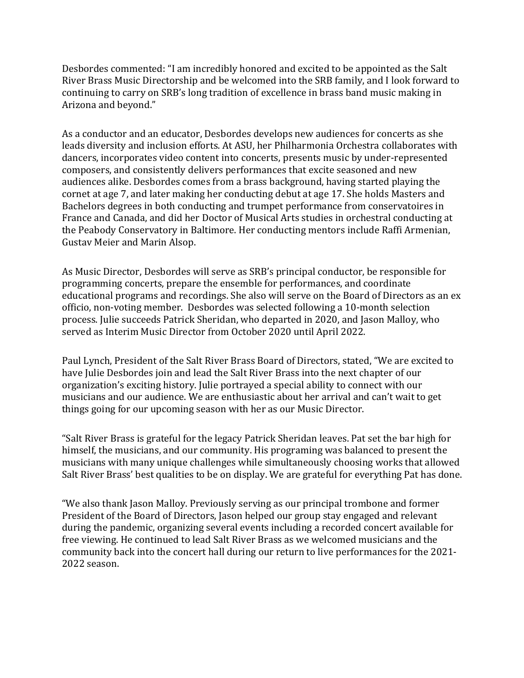Desbordes commented: "I am incredibly honored and excited to be appointed as the Salt River Brass Music Directorship and be welcomed into the SRB family, and I look forward to continuing to carry on SRB's long tradition of excellence in brass band music making in Arizona and beyond."

As a conductor and an educator, Desbordes develops new audiences for concerts as she leads diversity and inclusion efforts. At ASU, her Philharmonia Orchestra collaborates with dancers, incorporates video content into concerts, presents music by under-represented composers, and consistently delivers performances that excite seasoned and new audiences alike. Desbordes comes from a brass background, having started playing the cornet at age 7, and later making her conducting debut at age 17. She holds Masters and Bachelors degrees in both conducting and trumpet performance from conservatoires in France and Canada, and did her Doctor of Musical Arts studies in orchestral conducting at the Peabody Conservatory in Baltimore. Her conducting mentors include Raffi Armenian, Gustav Meier and Marin Alsop.

As Music Director, Desbordes will serve as SRB's principal conductor, be responsible for programming concerts, prepare the ensemble for performances, and coordinate educational programs and recordings. She also will serve on the Board of Directors as an ex officio, non-voting member. Desbordes was selected following a 10-month selection process. Julie succeeds Patrick Sheridan, who departed in 2020, and Jason Malloy, who served as Interim Music Director from October 2020 until April 2022.

Paul Lynch, President of the Salt River Brass Board of Directors, stated, "We are excited to have Julie Desbordes join and lead the Salt River Brass into the next chapter of our organization's exciting history. Julie portrayed a special ability to connect with our musicians and our audience. We are enthusiastic about her arrival and can't wait to get things going for our upcoming season with her as our Music Director.

"Salt River Brass is grateful for the legacy Patrick Sheridan leaves. Pat set the bar high for himself, the musicians, and our community. His programing was balanced to present the musicians with many unique challenges while simultaneously choosing works that allowed Salt River Brass' best qualities to be on display. We are grateful for everything Pat has done.

"We also thank Jason Malloy. Previously serving as our principal trombone and former President of the Board of Directors, Jason helped our group stay engaged and relevant during the pandemic, organizing several events including a recorded concert available for free viewing. He continued to lead Salt River Brass as we welcomed musicians and the community back into the concert hall during our return to live performances for the 2021-2022 season.